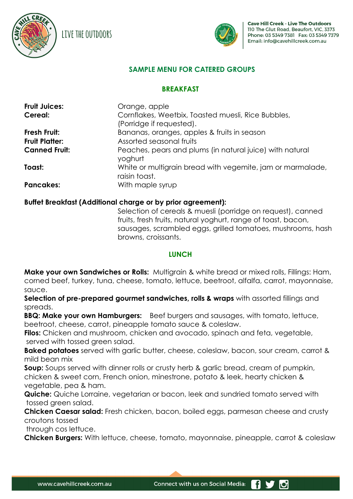

LIVE THE OUTDOORS



# **SAMPLE MENU FOR CATERED GROUPS**

#### **BREAKFAST**

| <b>Fruit Juices:</b>  | Orange, apple                                                               |
|-----------------------|-----------------------------------------------------------------------------|
| Cereal:               | Cornflakes, Weetbix, Toasted muesli, Rice Bubbles,                          |
|                       | (Porridge if requested).                                                    |
| Fresh Fruit:          | Bananas, oranges, apples & fruits in season                                 |
| <b>Fruit Platter:</b> | Assorted seasonal fruits                                                    |
| <b>Canned Fruit:</b>  | Peaches, pears and plums (in natural juice) with natural<br>yoghurt         |
| Toast:                | White or multigrain bread with vegemite, jam or marmalade,<br>raisin toast. |
| <b>Pancakes:</b>      | With maple syrup                                                            |

#### **Buffet Breakfast (Additional charge or by prior agreement):**

Selection of cereals & muesli (porridge on request), canned fruits, fresh fruits, natural yoghurt, range of toast, bacon, sausages, scrambled eggs, grilled tomatoes, mushrooms, hash browns, croissants.

#### **LUNCH**

**Make your own Sandwiches or Rolls:** Multigrain & white bread or mixed rolls, Fillings: Ham, corned beef, turkey, tuna, cheese, tomato, lettuce, beetroot, alfalfa, carrot, mayonnaise, sauce.

**Selection of pre-prepared gourmet sandwiches, rolls & wraps** with assorted fillings and spreads.

**BBQ: Make your own Hamburgers:** Beef burgers and sausages, with tomato, lettuce, beetroot, cheese, carrot, pineapple tomato sauce & coleslaw.

**Filos:** Chicken and mushroom, chicken and avocado, spinach and feta, vegetable, served with tossed green salad.

**Baked Potatoes Baked potatoes** served with garlic butter, cheese, coleslaw, bacon, sour cream, carrot & mild bean mix

**Soup:** Soups served with dinner rolls or crusty herb & garlic bread, cream of pumpkin, chicken & sweet corn, French onion, minestrone, potato & leek, hearty chicken & vegetable, pea & ham.

**Quiche: Quiche:** Quiche Lorraine, vegetarian or bacon, leek and sundried tomato served with tossed green salad.

**Chicken Caesar salad:** Fresh chicken, bacon, boiled eggs, parmesan cheese and crusty croutons tossed

through cos lettuce.

**Chicken Burgers:** With lettuce, cheese, tomato, mayonnaise, pineapple, carrot & coleslaw

Ú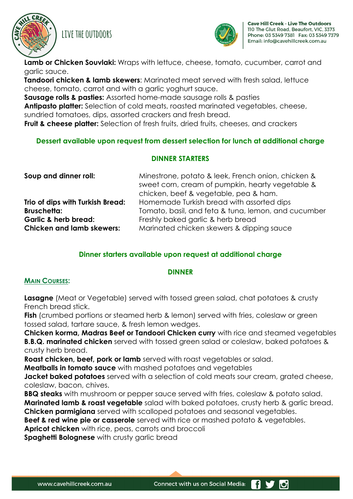

LIVE THE OUTDOORS



**Lamb or Chicken Souvlaki:** Wraps with lettuce, cheese, tomato, cucumber, carrot and garlic sauce.

**Tandoori chicken & lamb skewers**: Marinated meat served with fresh salad, lettuce cheese, tomato, carrot and with a garlic yoghurt sauce.

**Sausage rolls & pasties:** Assorted home-made sausage rolls & pasties

**Antipasto platter:** Selection of cold meats, roasted marinated vegetables, cheese, sundried tomatoes, dips, assorted crackers and fresh bread.

**Fruit & cheese platter:** Selection of fresh fruits, dried fruits, cheeses, and crackers

### **Dessert available upon request from dessert selection for lunch at additional charge**

#### **DINNER STARTERS**

| Soup and dinner roll:            | Minestrone, potato & leek, French onion, chicken &  |
|----------------------------------|-----------------------------------------------------|
|                                  | sweet corn, cream of pumpkin, hearty vegetable &    |
|                                  | chicken, beef & vegetable, pea & ham.               |
| Trio of dips with Turkish Bread: | Homemade Turkish bread with assorted dips           |
| <b>Bruschetta:</b>               | Tomato, basil, and feta & tuna, lemon, and cucumber |
| <b>Garlic &amp; herb bread:</b>  | Freshly baked garlic & herb bread                   |
| <b>Chicken and lamb skewers:</b> | Marinated chicken skewers & dipping sauce           |

# **Dinner starters available upon request at additional charge**

### **DINNER**

### **MAIN COURSES:**

**Lasagne** (Meat or Vegetable) served with tossed green salad, chat potatoes & crusty French bread stick.

**Fish** (crumbed portions or steamed herb & lemon) served with fries, coleslaw or green tossed salad, tartare sauce, & fresh lemon wedges.

**Chicken korma, Madras Beef or Tandoori Chicken curry** with rice and steamed vegetables **B.B.Q. marinated chicken** served with tossed green salad or coleslaw, baked potatoes & crusty herb bread.

**Roast chicken, beef, pork or lamb** served with roast vegetables or salad.

**Meatballs in tomato sauce** with mashed potatoes and vegetables

**Jacket baked potatoes** served with a selection of cold meats sour cream, grated cheese, coleslaw, bacon, chives.

**BBQ steaks** with mushroom or pepper sauce served with fries, coleslaw & potato salad. **Marinated lamb & roast vegetable** salad with baked potatoes, crusty herb & garlic bread. **Chicken parmigiana** served with scalloped potatoes and seasonal vegetables.

**Beef & red wine pie or casserole** served with rice or mashed potato & vegetables.

**Apricot chicken** with rice, peas, carrots and broccoli

**Spaghetti Bolognese** with crusty garlic bread